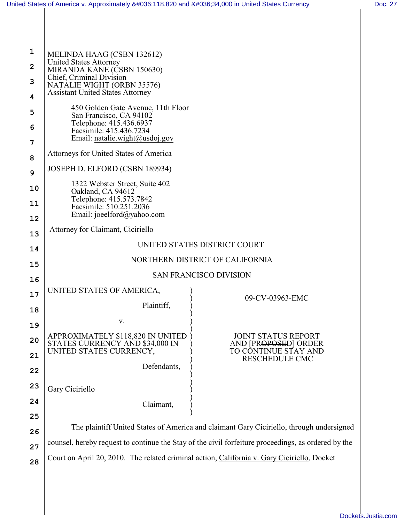| United States of America v. Approximately \$118,820 and \$34,000 in United States Currency |                                                                                                     |
|--------------------------------------------------------------------------------------------|-----------------------------------------------------------------------------------------------------|
|                                                                                            |                                                                                                     |
|                                                                                            |                                                                                                     |
| 1<br>MELINDA HAAG (CSBN 132612)                                                            |                                                                                                     |
| <b>United States Attorney</b><br>$\overline{2}$<br>MIRANDA KANE (ČSBN 150630)              |                                                                                                     |
| Chief, Criminal Division<br>3<br>NATALIE WIGHT (ORBN 35576)                                |                                                                                                     |
| <b>Assistant United States Attorney</b><br>4                                               |                                                                                                     |
| 450 Golden Gate Avenue, 11th Floor<br>5<br>San Francisco, CA 94102                         |                                                                                                     |
| Telephone: 415.436.6937<br>6<br>Facsimile: 415.436.7234                                    |                                                                                                     |
| Email: natalie.wight@usdoj.gov<br>7                                                        |                                                                                                     |
| Attorneys for United States of America<br>8                                                |                                                                                                     |
| JOSEPH D. ELFORD (CSBN 189934)<br>9                                                        |                                                                                                     |
| 1322 Webster Street, Suite 402<br>10                                                       |                                                                                                     |
| Oakland, CA 94612<br>Telephone: 415.573.7842<br>11                                         |                                                                                                     |
| Facsimile: 510.251.2036<br>Email: joeelford@yahoo.com<br>12                                |                                                                                                     |
| Attorney for Claimant, Ciciriello                                                          |                                                                                                     |
| UNITED STATES DISTRICT COURT                                                               |                                                                                                     |
| NORTHERN DISTRICT OF CALIFORNIA                                                            |                                                                                                     |
| <b>SAN FRANCISCO DIVISION</b>                                                              |                                                                                                     |
| 16<br>UNITED STATES OF AMERICA,                                                            |                                                                                                     |
| 17<br>Plaintiff,                                                                           | 09-CV-03963-EMC                                                                                     |
| 18<br>V.                                                                                   |                                                                                                     |
| 19<br>APPROXIMATELY \$118,820 IN UNITED                                                    | <b>JOINT STATUS REPORT</b>                                                                          |
| 20<br>STATES CURRENCY AND \$34,000 IN<br>UNITED STATES CURRENCY,                           | AND [PROPOSED] ORDER<br>TO CONTINUE STAY AND                                                        |
| 21                                                                                         | RESCHEDULE CMC                                                                                      |
| Defendants,<br>22                                                                          |                                                                                                     |
| 23<br>Gary Ciciriello                                                                      |                                                                                                     |
| 24<br>Claimant,                                                                            |                                                                                                     |
| 25                                                                                         |                                                                                                     |
| 26                                                                                         | The plaintiff United States of America and claimant Gary Ciciriello, through undersigned            |
| 27                                                                                         | counsel, hereby request to continue the Stay of the civil forfeiture proceedings, as ordered by the |
| 28                                                                                         | Court on April 20, 2010. The related criminal action, California v. Gary Ciciriello, Docket         |

II